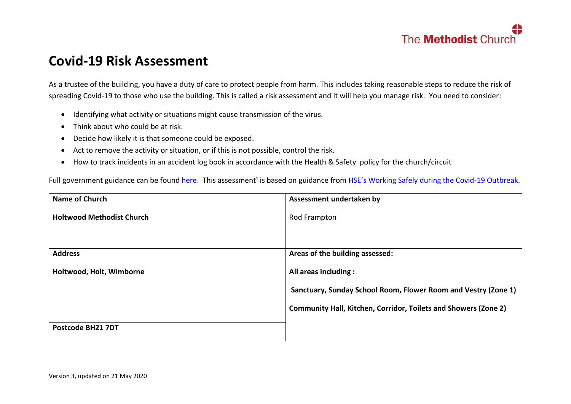

### **Covid-19 Risk Assessment**

As a trustee of the building, you have a duty of care to protect people from harm. This includes taking reasonable steps to reduce the risk of spreading Covid-19 to those who use the building. This is called a risk assessment and it will help you manage risk. You need to consider:

- Identifying what activity or situations might cause transmission of the virus.
- Think about who could be at risk.
- Decide how likely it is that someone could be exposed.
- Act to remove the activity or situation, or if this is not possible, control the risk.
- How to track incidents in an accident log book in accordance with the Health & Safety policy for the church/circuit

Full government guidance can be found [here.](https://www.gov.uk/government/publications/guidance-to-employers-and-businesses-about-covid-19) This assessment<sup>1</sup> is based on guidance from [HSE's Working Safely during the Covid](https://www.hse.gov.uk/news/assets/docs/working-safely-guide.pdf)-19 Outbreak.

| <b>Name of Church</b>            | Assessment undertaken by                                               |
|----------------------------------|------------------------------------------------------------------------|
| <b>Holtwood Methodist Church</b> | Rod Frampton                                                           |
| <b>Address</b>                   | Areas of the building assessed:                                        |
| Holtwood, Holt, Wimborne         | All areas including:                                                   |
|                                  | Sanctuary, Sunday School Room, Flower Room and Vestry (Zone 1)         |
|                                  | <b>Community Hall, Kitchen, Corridor, Toilets and Showers (Zone 2)</b> |
| Postcode BH21 7DT                |                                                                        |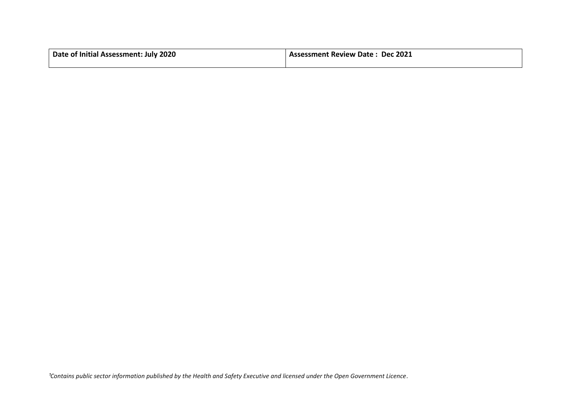| Date of Initial Assessment: July 2020 | <b>Assessment Review Date: Dec 2021</b> |  |  |
|---------------------------------------|-----------------------------------------|--|--|
|                                       |                                         |  |  |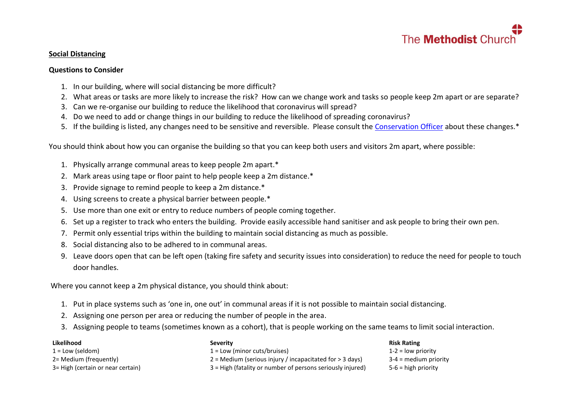

#### **Social Distancing**

#### **Questions to Consider**

- 1. In our building, where will social distancing be more difficult?
- 2. What areas or tasks are more likely to increase the risk? How can we change work and tasks so people keep 2m apart or are separate?
- 3. Can we re-organise our building to reduce the likelihood that coronavirus will spread?
- 4. Do we need to add or change things in our building to reduce the likelihood of spreading coronavirus?
- 5. If the building is listed, any changes need to be sensitive and reversible. Please consult the [Conservation Officer](mailto:conservation@methodistchurch.org.uk?subject=Social%20Distancing%20during%20Covid-19) about these changes.\*

You should think about how you can organise the building so that you can keep both users and visitors 2m apart, where possible:

- 1. Physically arrange communal areas to keep people 2m apart.\*
- 2. Mark areas using tape or floor paint to help people keep a 2m distance.<sup>\*</sup>
- 3. Provide signage to remind people to keep a 2m distance.\*
- 4. Using screens to create a physical barrier between people.\*
- 5. Use more than one exit or entry to reduce numbers of people coming together.
- 6. Set up a register to track who enters the building. Provide easily accessible hand sanitiser and ask people to bring their own pen.
- 7. Permit only essential trips within the building to maintain social distancing as much as possible.
- 8. Social distancing also to be adhered to in communal areas.
- 9. Leave doors open that can be left open (taking fire safety and security issues into consideration) to reduce the need for people to touch door handles.

Where you cannot keep a 2m physical distance, you should think about:

- 1. Put in place systems such as 'one in, one out' in communal areas if it is not possible to maintain social distancing.
- 2. Assigning one person per area or reducing the number of people in the area.
- 3. Assigning people to teams (sometimes known as a cohort), that is people working on the same teams to limit social interaction.

#### **Likelihood**

- $1 =$  Low (seldom)
- 2= Medium (frequently)
- 3= High (certain or near certain)

#### **Severity**

1 = Low (minor cuts/bruises) 2 = Medium (serious injury / incapacitated for > 3 days)

3 = High (fatality or number of persons seriously injured)

#### **Risk Rating**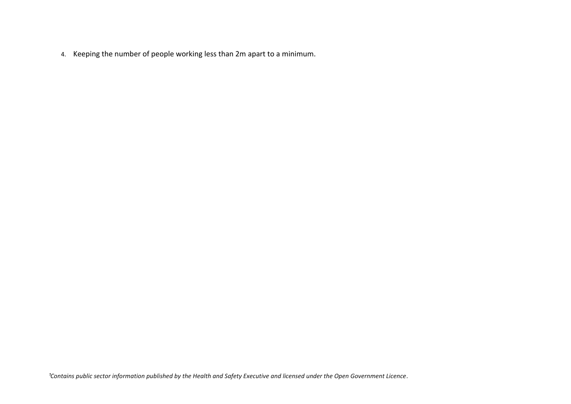4. Keeping the number of people working less than 2m apart to a minimum.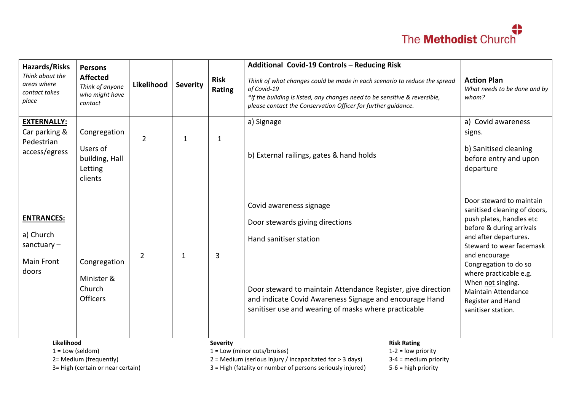| <b>Hazards/Risks</b><br>Think about the<br>areas where<br>contact takes<br>place | <b>Persons</b><br><b>Affected</b><br>Think of anyone<br>who might have<br>contact | Likelihood     | <b>Severity</b> | <b>Risk</b><br>Rating | Additional Covid-19 Controls - Reducing Risk<br>Think of what changes could be made in each scenario to reduce the spread<br>of Covid-19<br>*If the building is listed, any changes need to be sensitive & reversible,<br>please contact the Conservation Officer for further guidance. | <b>Action Plan</b><br>What needs to be done and by<br>whom?                                                                                                                                                                                                                                                                             |
|----------------------------------------------------------------------------------|-----------------------------------------------------------------------------------|----------------|-----------------|-----------------------|-----------------------------------------------------------------------------------------------------------------------------------------------------------------------------------------------------------------------------------------------------------------------------------------|-----------------------------------------------------------------------------------------------------------------------------------------------------------------------------------------------------------------------------------------------------------------------------------------------------------------------------------------|
| <b>EXTERNALLY:</b><br>Car parking &<br>Pedestrian<br>access/egress               | Congregation<br>Users of<br>building, Hall<br>Letting<br>clients                  | $\overline{2}$ | $\mathbf{1}$    | 1                     | a) Signage<br>b) External railings, gates & hand holds                                                                                                                                                                                                                                  | a) Covid awareness<br>signs.<br>b) Sanitised cleaning<br>before entry and upon<br>departure                                                                                                                                                                                                                                             |
| <b>ENTRANCES:</b><br>a) Church<br>sanctuary $-$<br><b>Main Front</b><br>doors    | Congregation<br>Minister &<br>Church<br><b>Officers</b>                           | $\overline{2}$ | $\mathbf{1}$    | 3                     | Covid awareness signage<br>Door stewards giving directions<br>Hand sanitiser station<br>Door steward to maintain Attendance Register, give direction<br>and indicate Covid Awareness Signage and encourage Hand<br>sanitiser use and wearing of masks where practicable                 | Door steward to maintain<br>sanitised cleaning of doors,<br>push plates, handles etc<br>before & during arrivals<br>and after departures.<br>Steward to wear facemask<br>and encourage<br>Congregation to do so<br>where practicable e.g.<br>When not singing.<br><b>Maintain Attendance</b><br>Register and Hand<br>sanitiser station. |
| Likelihood<br>$1 = Low (seldom)$                                                 | 2= Medium (frequently)                                                            |                |                 | <b>Severity</b>       | <b>Risk Rating</b><br>$1 =$ Low (minor cuts/bruises)<br>$1-2 =$ low priority<br>$2$ = Medium (serious injury / incapacitated for > 3 days)<br>$3-4$ = medium priority                                                                                                                   |                                                                                                                                                                                                                                                                                                                                         |

3= High (certain or near certain)

3 = High (fatality or number of persons seriously injured)

5-6 = high priority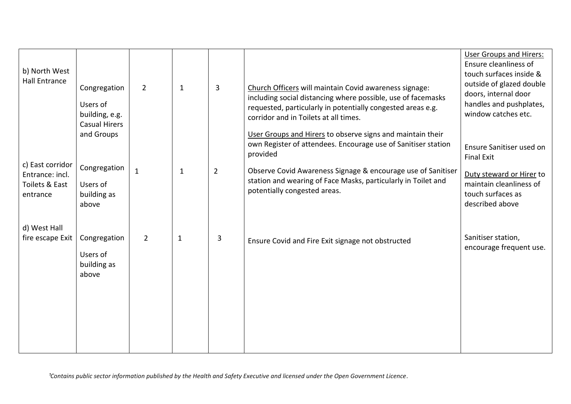| b) North West<br><b>Hall Entrance</b>                             | Congregation<br>Users of<br>building, e.g.<br><b>Casual Hirers</b><br>and Groups | $\overline{2}$ | $\mathbf{1}$ | $\mathbf{3}$   | Church Officers will maintain Covid awareness signage:<br>including social distancing where possible, use of facemasks<br>requested, particularly in potentially congested areas e.g.<br>corridor and in Toilets at all times.<br>User Groups and Hirers to observe signs and maintain their<br>own Register of attendees. Encourage use of Sanitiser station<br>provided | <b>User Groups and Hirers:</b><br>Ensure cleanliness of<br>touch surfaces inside &<br>outside of glazed double<br>doors, internal door<br>handles and pushplates,<br>window catches etc.<br>Ensure Sanitiser used on<br><b>Final Exit</b> |
|-------------------------------------------------------------------|----------------------------------------------------------------------------------|----------------|--------------|----------------|---------------------------------------------------------------------------------------------------------------------------------------------------------------------------------------------------------------------------------------------------------------------------------------------------------------------------------------------------------------------------|-------------------------------------------------------------------------------------------------------------------------------------------------------------------------------------------------------------------------------------------|
| c) East corridor<br>Entrance: incl.<br>Toilets & East<br>entrance | Congregation<br>Users of<br>building as<br>above                                 | $\mathbf{1}$   | $\mathbf{1}$ | $\overline{2}$ | Observe Covid Awareness Signage & encourage use of Sanitiser<br>station and wearing of Face Masks, particularly in Toilet and<br>potentially congested areas.                                                                                                                                                                                                             | Duty steward or Hirer to<br>maintain cleanliness of<br>touch surfaces as<br>described above                                                                                                                                               |
| d) West Hall<br>fire escape Exit                                  | Congregation<br>Users of<br>building as<br>above                                 | $\overline{2}$ | $\mathbf{1}$ | 3              | Ensure Covid and Fire Exit signage not obstructed                                                                                                                                                                                                                                                                                                                         | Sanitiser station,<br>encourage frequent use.                                                                                                                                                                                             |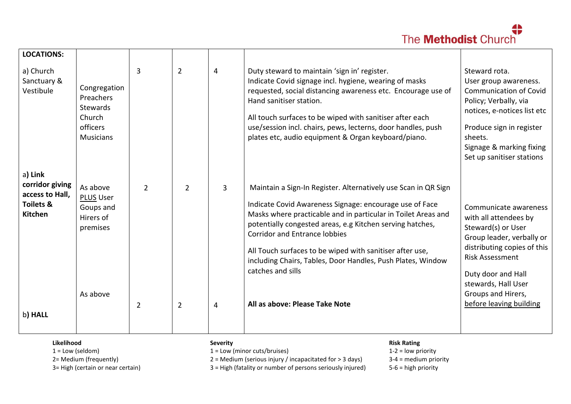| <b>LOCATIONS:</b>                                                                       |                                                                                 |                |                |              |                                                                                                                                                                                                                                                                                                                                                                                                                                                 |                                                                                                                                                                                                                                 |
|-----------------------------------------------------------------------------------------|---------------------------------------------------------------------------------|----------------|----------------|--------------|-------------------------------------------------------------------------------------------------------------------------------------------------------------------------------------------------------------------------------------------------------------------------------------------------------------------------------------------------------------------------------------------------------------------------------------------------|---------------------------------------------------------------------------------------------------------------------------------------------------------------------------------------------------------------------------------|
| a) Church<br>Sanctuary &<br>Vestibule                                                   | Congregation<br>Preachers<br>Stewards<br>Church<br>officers<br><b>Musicians</b> | $\overline{3}$ | $\overline{2}$ | 4            | Duty steward to maintain 'sign in' register.<br>Indicate Covid signage incl. hygiene, wearing of masks<br>requested, social distancing awareness etc. Encourage use of<br>Hand sanitiser station.<br>All touch surfaces to be wiped with sanitiser after each<br>use/session incl. chairs, pews, lecterns, door handles, push<br>plates etc, audio equipment & Organ keyboard/piano.                                                            | Steward rota.<br>User group awareness.<br><b>Communication of Covid</b><br>Policy; Verbally, via<br>notices, e-notices list etc<br>Produce sign in register<br>sheets.<br>Signage & marking fixing<br>Set up sanitiser stations |
| a) Link<br>corridor giving<br>access to Hall,<br><b>Toilets &amp;</b><br><b>Kitchen</b> | As above<br><b>PLUS User</b><br>Goups and<br>Hirers of<br>premises              | $\overline{2}$ | $\overline{2}$ | $\mathbf{3}$ | Maintain a Sign-In Register. Alternatively use Scan in QR Sign<br>Indicate Covid Awareness Signage: encourage use of Face<br>Masks where practicable and in particular in Toilet Areas and<br>potentially congested areas, e.g Kitchen serving hatches,<br><b>Corridor and Entrance lobbies</b><br>All Touch surfaces to be wiped with sanitiser after use,<br>including Chairs, Tables, Door Handles, Push Plates, Window<br>catches and sills | Communicate awareness<br>with all attendees by<br>Steward(s) or User<br>Group leader, verbally or<br>distributing copies of this<br><b>Risk Assessment</b><br>Duty door and Hall                                                |
| b) HALL                                                                                 | As above                                                                        | $\overline{2}$ | $\overline{2}$ | 4            | All as above: Please Take Note                                                                                                                                                                                                                                                                                                                                                                                                                  | stewards, Hall User<br>Groups and Hirers,<br>before leaving building                                                                                                                                                            |

#### **Likelihood**

 $1 =$  Low (seldom)

2= Medium (frequently)

3= High (certain or near certain)

**Severity**

1 = Low (minor cuts/bruises)

2 = Medium (serious injury / incapacitated for > 3 days)

3 = High (fatality or number of persons seriously injured)

**Risk Rating**

1-2 = low priority 3-4 = medium priority

5-6 = high priority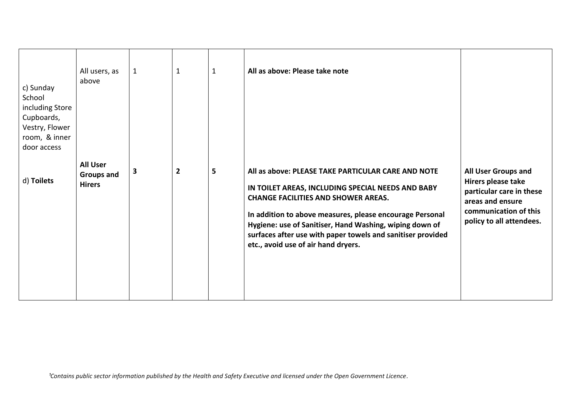| c) Sunday<br>School<br>including Store<br>Cupboards,<br>Vestry, Flower<br>room, & inner<br>door access | All users, as<br>above                         | $\mathbf{1}$ | $\mathbf 1$             | $\mathbf{1}$ | All as above: Please take note                                                                                                                                                                                                                                                                                                                                                     |                                                                                                                                                |
|--------------------------------------------------------------------------------------------------------|------------------------------------------------|--------------|-------------------------|--------------|------------------------------------------------------------------------------------------------------------------------------------------------------------------------------------------------------------------------------------------------------------------------------------------------------------------------------------------------------------------------------------|------------------------------------------------------------------------------------------------------------------------------------------------|
| d) Toilets                                                                                             | <b>All User</b><br>Groups and<br><b>Hirers</b> | 3            | $\overline{\mathbf{2}}$ | 5            | All as above: PLEASE TAKE PARTICULAR CARE AND NOTE<br>IN TOILET AREAS, INCLUDING SPECIAL NEEDS AND BABY<br><b>CHANGE FACILITIES AND SHOWER AREAS.</b><br>In addition to above measures, please encourage Personal<br>Hygiene: use of Sanitiser, Hand Washing, wiping down of<br>surfaces after use with paper towels and sanitiser provided<br>etc., avoid use of air hand dryers. | All User Groups and<br>Hirers please take<br>particular care in these<br>areas and ensure<br>communication of this<br>policy to all attendees. |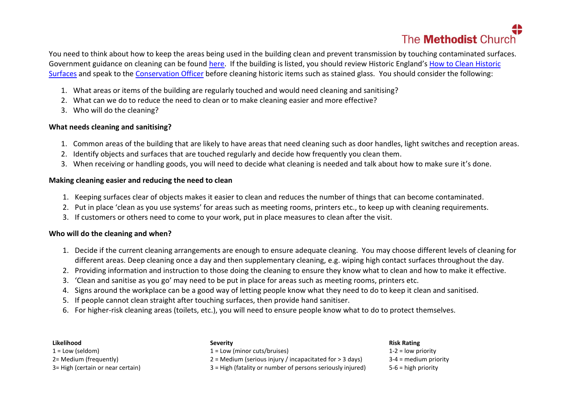You need to think about how to keep the areas being used in the building clean and prevent transmission by touching contaminated surfaces. Government guidance on cleaning can be found [here.](https://www.gov.uk/government/publications/covid-19-decontamination-in-non-healthcare-settings/covid-19-decontamination-in-non-healthcare-settings) If the building is listed, you should review Historic England's [How to Clean Historic](https://historicengland.org.uk/coronavirus/historic-places/cleaning-historic-surfaces/?utm_medium=email&utm_source=newsletter&utm_campaign=brand&utm_content=Cleaning%20Historic&dm_t=0,0,0,0,0)  [Surfaces](https://historicengland.org.uk/coronavirus/historic-places/cleaning-historic-surfaces/?utm_medium=email&utm_source=newsletter&utm_campaign=brand&utm_content=Cleaning%20Historic&dm_t=0,0,0,0,0) and speak to the [Conservation Officer](mailto:conservation@methodistchurch.org.uk?subject=Cleaning%20during%20Covid-19) before cleaning historic items such as stained glass. You should consider the following:

- 1. What areas or items of the building are regularly touched and would need cleaning and sanitising?
- 2. What can we do to reduce the need to clean or to make cleaning easier and more effective?
- 3. Who will do the cleaning?

#### **What needs cleaning and sanitising?**

- 1. Common areas of the building that are likely to have areas that need cleaning such as door handles, light switches and reception areas.
- 2. Identify objects and surfaces that are touched regularly and decide how frequently you clean them.
- 3. When receiving or handling goods, you will need to decide what cleaning is needed and talk about how to make sure it's done.

#### **Making cleaning easier and reducing the need to clean**

- 1. Keeping surfaces clear of objects makes it easier to clean and reduces the number of things that can become contaminated.
- 2. Put in place 'clean as you use systems' for areas such as meeting rooms, printers etc., to keep up with cleaning requirements.
- 3. If customers or others need to come to your work, put in place measures to clean after the visit.

#### **Who will do the cleaning and when?**

- 1. Decide if the current cleaning arrangements are enough to ensure adequate cleaning. You may choose different levels of cleaning for different areas. Deep cleaning once a day and then supplementary cleaning, e.g. wiping high contact surfaces throughout the day.
- 2. Providing information and instruction to those doing the cleaning to ensure they know what to clean and how to make it effective.
- 3. 'Clean and sanitise as you go' may need to be put in place for areas such as meeting rooms, printers etc.
- 4. Signs around the workplace can be a good way of letting people know what they need to do to keep it clean and sanitised.
- 5. If people cannot clean straight after touching surfaces, then provide hand sanitiser.
- 6. For higher-risk cleaning areas (toilets, etc.), you will need to ensure people know what to do to protect themselves.

#### **Likelihood**

- $1 =$  Low (seldom)
- 2= Medium (frequently)
- 3= High (certain or near certain)

#### **Severity**

- 1 = Low (minor cuts/bruises)
- 2 = Medium (serious injury / incapacitated for > 3 days)
- 3 = High (fatality or number of persons seriously injured)

#### **Risk Rating**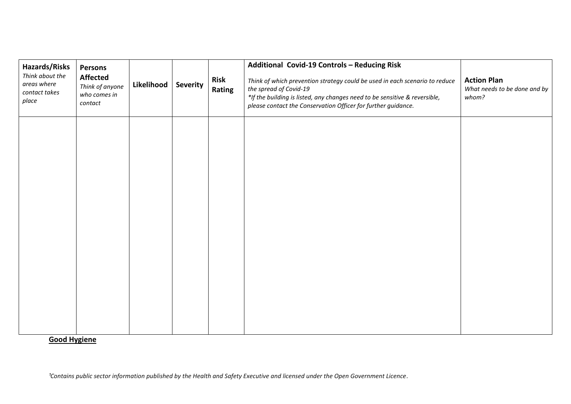| Hazards/Risks<br>Think about the<br>areas where<br>contact takes<br>place | Persons<br><b>Affected</b><br>Think of anyone<br>who comes in<br>contact | Likelihood | <b>Severity</b> | <b>Risk</b><br>Rating | Additional Covid-19 Controls - Reducing Risk<br>Think of which prevention strategy could be used in each scenario to reduce<br>the spread of Covid-19<br>*If the building is listed, any changes need to be sensitive & reversible,<br>please contact the Conservation Officer for further guidance. | <b>Action Plan</b><br>What needs to be done and by<br>whom? |
|---------------------------------------------------------------------------|--------------------------------------------------------------------------|------------|-----------------|-----------------------|------------------------------------------------------------------------------------------------------------------------------------------------------------------------------------------------------------------------------------------------------------------------------------------------------|-------------------------------------------------------------|
|                                                                           |                                                                          |            |                 |                       |                                                                                                                                                                                                                                                                                                      |                                                             |
|                                                                           |                                                                          |            |                 |                       |                                                                                                                                                                                                                                                                                                      |                                                             |
|                                                                           |                                                                          |            |                 |                       |                                                                                                                                                                                                                                                                                                      |                                                             |
|                                                                           |                                                                          |            |                 |                       |                                                                                                                                                                                                                                                                                                      |                                                             |

**Good Hygiene**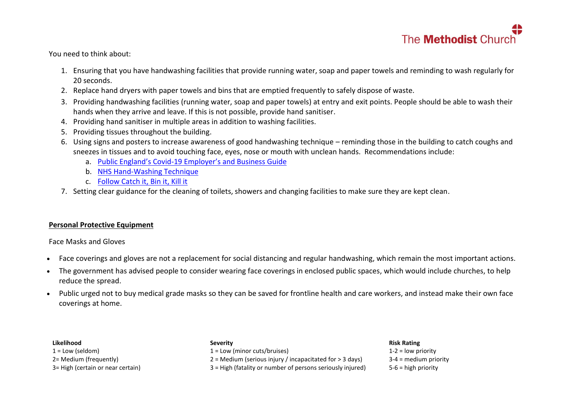You need to think about:

- 1. Ensuring that you have handwashing facilities that provide running water, soap and paper towels and reminding to wash regularly for 20 seconds.
- 2. Replace hand dryers with paper towels and bins that are emptied frequently to safely dispose of waste.
- 3. Providing handwashing facilities (running water, soap and paper towels) at entry and exit points. People should be able to wash their hands when they arrive and leave. If this is not possible, provide hand sanitiser.
- 4. Providing hand sanitiser in multiple areas in addition to washing facilities.
- 5. Providing tissues throughout the building.
- 6. Using signs and posters to increase awareness of good handwashing technique reminding those in the building to catch coughs and sneezes in tissues and to avoid touching face, eyes, nose or mouth with unclean hands. Recommendations include:
	- a. Public England's Covid-[19 Employer's and Business Guide](https://assets.publishing.service.gov.uk/government/uploads/system/uploads/attachment_data/file/876212/COVID19_Guidance_Employers_and_businesses_.pdf)
	- b. [NHS Hand-Washing Technique](https://www.berkshirehealthcare.nhs.uk/media/33429304/nhs-hand-wasing-technique.pdf)
	- c. [Follow Catch it, Bin it, Kill it](https://www.england.nhs.uk/south/wp-content/uploads/sites/6/2017/09/catch-bin-kill.pdf)
- 7. Setting clear guidance for the cleaning of toilets, showers and changing facilities to make sure they are kept clean.

#### **Personal Protective Equipment**

Face Masks and Gloves

- Face coverings and gloves are not a replacement for social distancing and regular handwashing, which remain the most important actions.
- The government has advised people to consider wearing face coverings in enclosed public spaces, which would include churches, to help reduce the spread.
- Public urged not to buy medical grade masks so they can be saved for frontline health and care workers, and instead make their own face coverings at home.

#### **Likelihood**

 $1 =$  Low (seldom) 2= Medium (frequently) 3= High (certain or near certain)

#### **Severity**

1 = Low (minor cuts/bruises)

2 = Medium (serious injury / incapacitated for > 3 days)

3 = High (fatality or number of persons seriously injured)

#### **Risk Rating**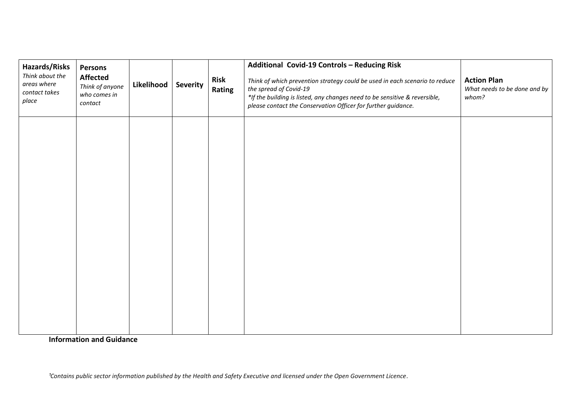| <b>Hazards/Risks</b><br>Think about the<br>areas where<br>contact takes<br>place | Persons<br><b>Affected</b><br>Think of anyone<br>who comes in<br>contact | Likelihood | <b>Severity</b> | <b>Risk</b><br>Rating | Additional Covid-19 Controls - Reducing Risk<br>Think of which prevention strategy could be used in each scenario to reduce<br>the spread of Covid-19<br>*If the building is listed, any changes need to be sensitive & reversible,<br>please contact the Conservation Officer for further guidance. | <b>Action Plan</b><br>What needs to be done and by<br>whom? |
|----------------------------------------------------------------------------------|--------------------------------------------------------------------------|------------|-----------------|-----------------------|------------------------------------------------------------------------------------------------------------------------------------------------------------------------------------------------------------------------------------------------------------------------------------------------------|-------------------------------------------------------------|
|                                                                                  |                                                                          |            |                 |                       |                                                                                                                                                                                                                                                                                                      |                                                             |
|                                                                                  |                                                                          |            |                 |                       |                                                                                                                                                                                                                                                                                                      |                                                             |
|                                                                                  |                                                                          |            |                 |                       |                                                                                                                                                                                                                                                                                                      |                                                             |
|                                                                                  |                                                                          |            |                 |                       |                                                                                                                                                                                                                                                                                                      |                                                             |

**Information and Guidance**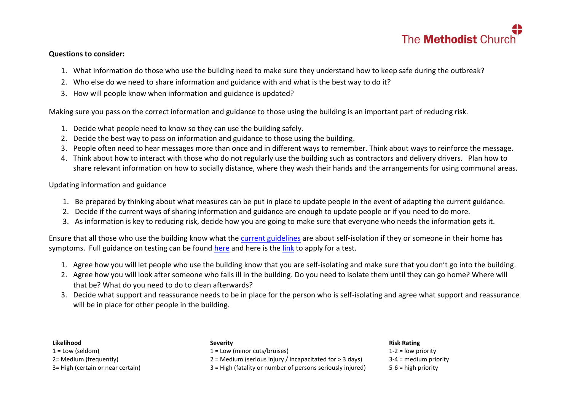

#### **Questions to consider:**

- 1. What information do those who use the building need to make sure they understand how to keep safe during the outbreak?
- 2. Who else do we need to share information and guidance with and what is the best way to do it?
- 3. How will people know when information and guidance is updated?

Making sure you pass on the correct information and guidance to those using the building is an important part of reducing risk.

- 1. Decide what people need to know so they can use the building safely.
- 2. Decide the best way to pass on information and guidance to those using the building.
- 3. People often need to hear messages more than once and in different ways to remember. Think about ways to reinforce the message.
- 4. Think about how to interact with those who do not regularly use the building such as contractors and delivery drivers. Plan how to share relevant information on how to socially distance, where they wash their hands and the arrangements for using communal areas.

Updating information and guidance

- 1. Be prepared by thinking about what measures can be put in place to update people in the event of adapting the current guidance.
- 2. Decide if the current ways of sharing information and guidance are enough to update people or if you need to do more.
- 3. As information is key to reducing risk, decide how you are going to make sure that everyone who needs the information gets it.

Ensure that all those who use the building know what the [current guidelines](https://www.gov.uk/government/publications/staying-alert-and-safe-social-distancing) are about self-isolation if they or someone in their home has symptoms. Full guidance on testing can be found [here](https://www.gov.uk/guidance/coronavirus-covid-19-getting-tested) and here is the [link](https://www.gov.uk/apply-coronavirus-test) to apply for a test.

- 1. Agree how you will let people who use the building know that you are self-isolating and make sure that you don't go into the building.
- 2. Agree how you will look after someone who falls ill in the building. Do you need to isolate them until they can go home? Where will that be? What do you need to do to clean afterwards?
- 3. Decide what support and reassurance needs to be in place for the person who is self-isolating and agree what support and reassurance will be in place for other people in the building.

#### **Likelihood**

 $1 =$  Low (seldom) 2= Medium (frequently) 3= High (certain or near certain)

#### **Severity**

1 = Low (minor cuts/bruises)

2 = Medium (serious injury / incapacitated for > 3 days)

3 = High (fatality or number of persons seriously injured)

#### **Risk Rating**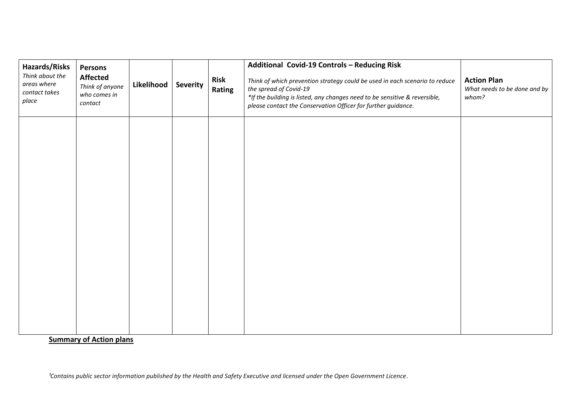| Hazards/Risks<br>Think about the<br>areas where<br>contact takes<br>place | Persons<br><b>Affected</b><br>Think of anyone<br>who comes in<br>contact | Likelihood | <b>Severity</b> | <b>Risk</b><br>Rating | Additional Covid-19 Controls - Reducing Risk<br>Think of which prevention strategy could be used in each scenario to reduce<br>the spread of Covid-19<br>*If the building is listed, any changes need to be sensitive & reversible,<br>please contact the Conservation Officer for further guidance. | <b>Action Plan</b><br>What needs to be done and by<br>whom? |
|---------------------------------------------------------------------------|--------------------------------------------------------------------------|------------|-----------------|-----------------------|------------------------------------------------------------------------------------------------------------------------------------------------------------------------------------------------------------------------------------------------------------------------------------------------------|-------------------------------------------------------------|
|                                                                           |                                                                          |            |                 |                       |                                                                                                                                                                                                                                                                                                      |                                                             |
|                                                                           |                                                                          |            |                 |                       |                                                                                                                                                                                                                                                                                                      |                                                             |
|                                                                           |                                                                          |            |                 |                       |                                                                                                                                                                                                                                                                                                      |                                                             |
|                                                                           |                                                                          |            |                 |                       |                                                                                                                                                                                                                                                                                                      |                                                             |

**Summary of Action plans**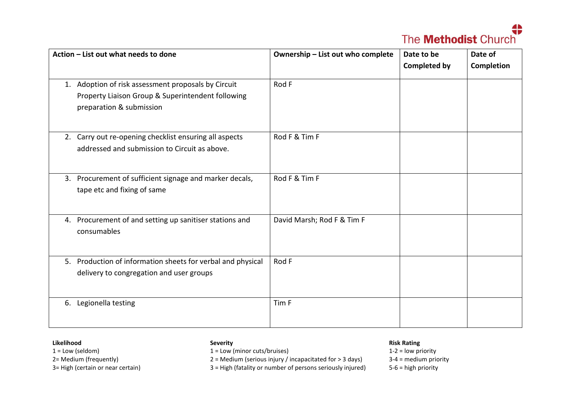| Action - List out what needs to done                                                                                                 | Ownership - List out who complete | Date to be          | Date of           |  |
|--------------------------------------------------------------------------------------------------------------------------------------|-----------------------------------|---------------------|-------------------|--|
|                                                                                                                                      |                                   | <b>Completed by</b> | <b>Completion</b> |  |
| 1. Adoption of risk assessment proposals by Circuit<br>Property Liaison Group & Superintendent following<br>preparation & submission | Rod F                             |                     |                   |  |
| 2. Carry out re-opening checklist ensuring all aspects<br>addressed and submission to Circuit as above.                              | Rod F & Tim F                     |                     |                   |  |
| 3. Procurement of sufficient signage and marker decals,<br>tape etc and fixing of same                                               | Rod F & Tim F                     |                     |                   |  |
| Procurement of and setting up sanitiser stations and<br>4.<br>consumables                                                            | David Marsh; Rod F & Tim F        |                     |                   |  |
| 5. Production of information sheets for verbal and physical<br>delivery to congregation and user groups                              | Rod F                             |                     |                   |  |
| 6. Legionella testing                                                                                                                | Tim F                             |                     |                   |  |

#### **Likelihood**

 $1 =$  Low (seldom)

2= Medium (frequently)

3= High (certain or near certain)

#### **Severity**

1 = Low (minor cuts/bruises)

2 = Medium (serious injury / incapacitated for > 3 days)

3 = High (fatality or number of persons seriously injured)

#### **Risk Rating**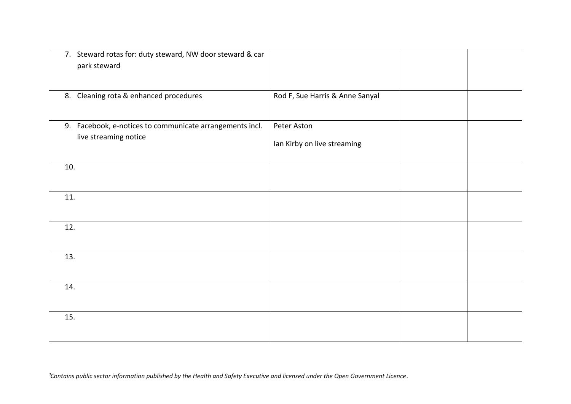| 7. Steward rotas for: duty steward, NW door steward & car<br>park steward         |                                            |  |
|-----------------------------------------------------------------------------------|--------------------------------------------|--|
| 8. Cleaning rota & enhanced procedures                                            | Rod F, Sue Harris & Anne Sanyal            |  |
| 9. Facebook, e-notices to communicate arrangements incl.<br>live streaming notice | Peter Aston<br>Ian Kirby on live streaming |  |
| 10.                                                                               |                                            |  |
| 11.                                                                               |                                            |  |
| 12.                                                                               |                                            |  |
| 13.                                                                               |                                            |  |
| 14.                                                                               |                                            |  |
| 15.                                                                               |                                            |  |